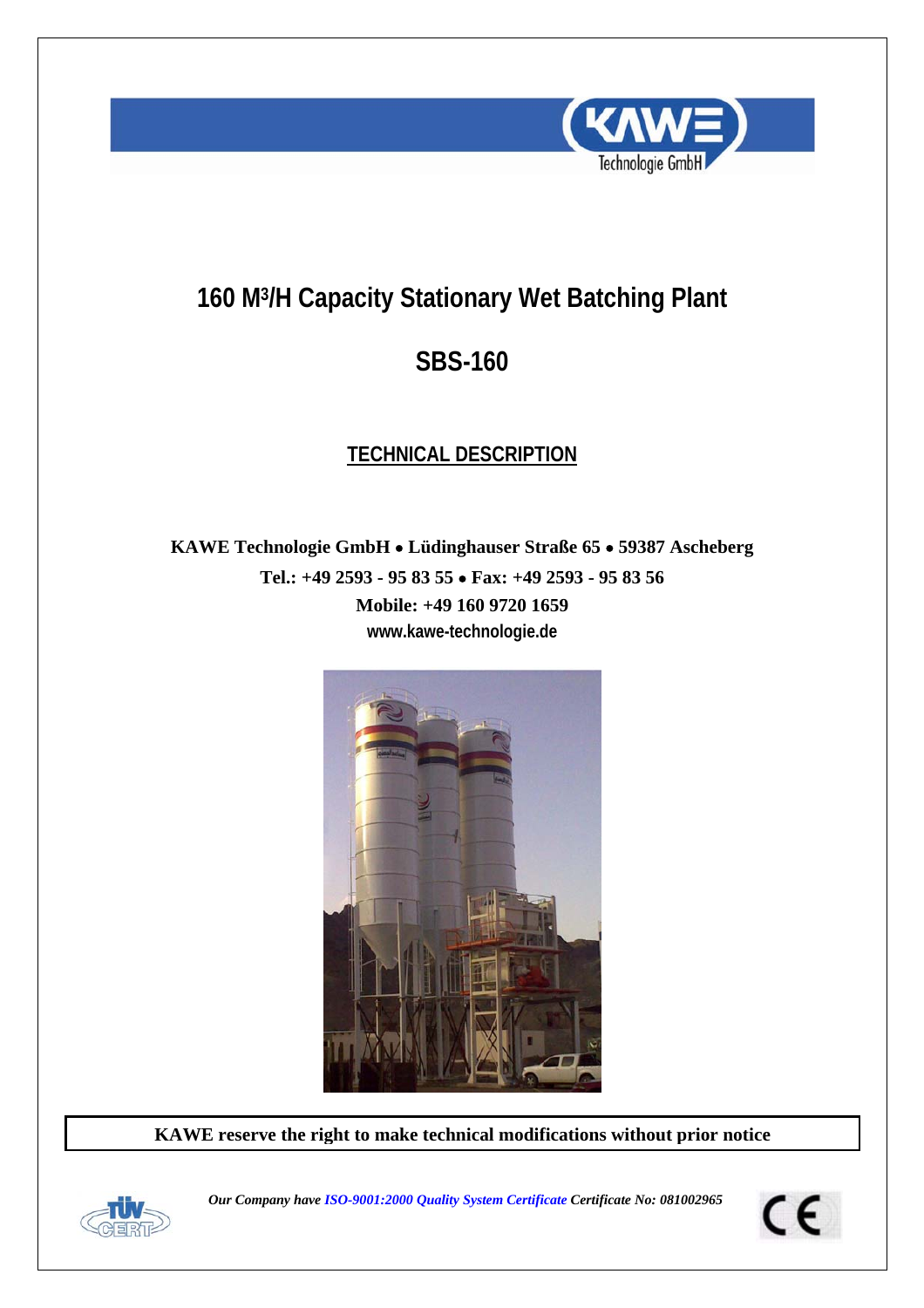

# **160 M3/H Capacity Stationary Wet Batching Plant**

# **SBS-160**

# **TECHNICAL DESCRIPTION**

**KAWE Technologie GmbH** • **Lüdinghauser Straße 65** • **59387 Ascheberg Tel.: +49 2593 - 95 83 55** • **Fax: +49 2593 - 95 83 56 Mobile: +49 160 9720 1659 www.kawe-technologie.de** 



**KAWE reserve the right to make technical modifications without prior notice**



*Our Company have ISO-9001:2000 Quality System Certificate Certificate No: 081002965* 

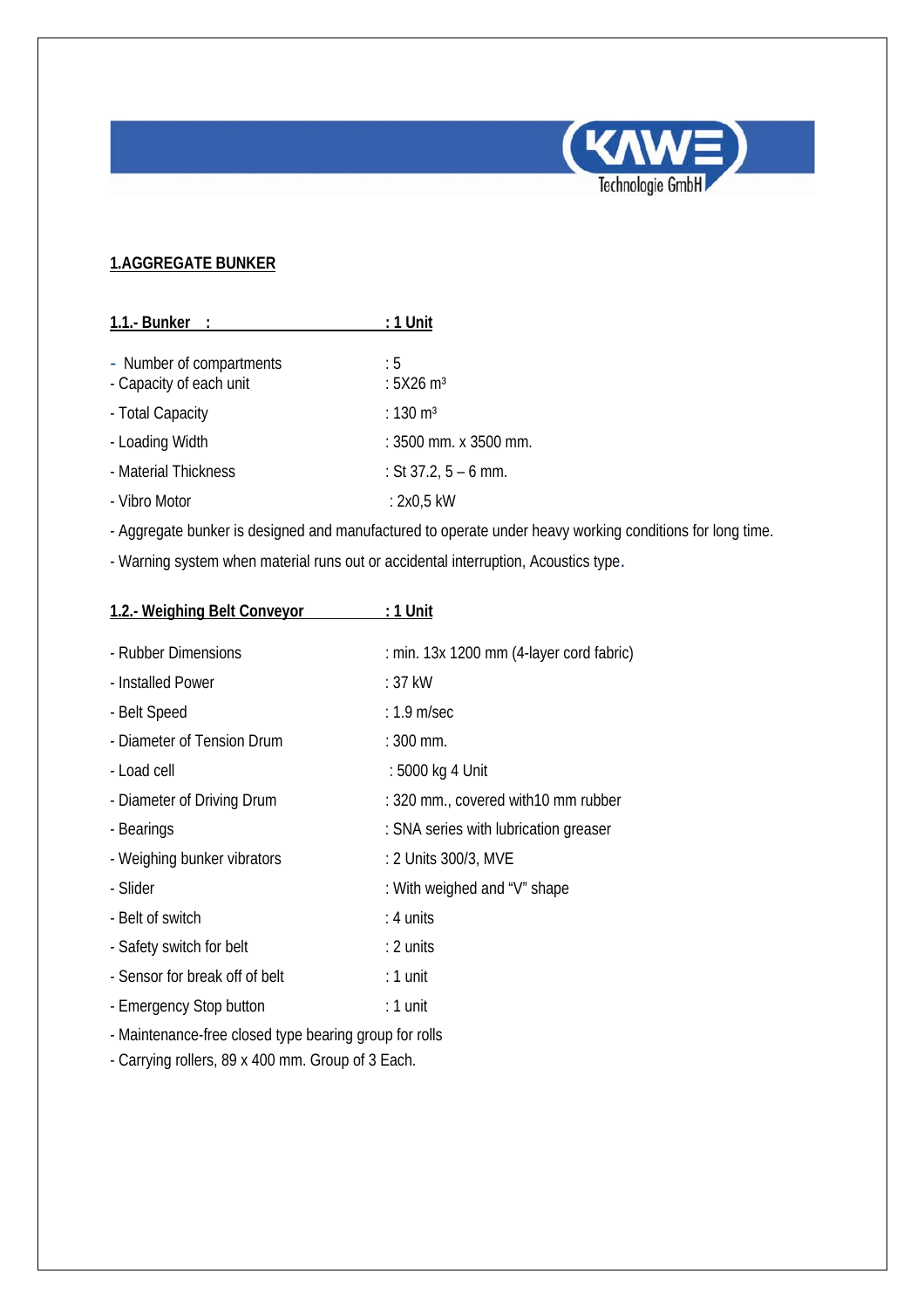

### **1.AGGREGATE BUNKER**

| 1.1.- Bunker $\therefore$                           | : 1 Unit                       |
|-----------------------------------------------------|--------------------------------|
| - Number of compartments<br>- Capacity of each unit | : 5<br>: $5X26$ m <sup>3</sup> |
| - Total Capacity                                    | : $130 \text{ m}^3$            |
| - Loading Width                                     | : 3500 mm. x 3500 mm.          |
| - Material Thickness                                | : St $37.2, 5 - 6$ mm.         |
| - Vibro Motor                                       | : 2x0,5 kW                     |

- Aggregate bunker is designed and manufactured to operate under heavy working conditions for long time.

- Warning system when material runs out or accidental interruption, Acoustics type.

| 1.2.- Weighing Belt Conveyor   | <u>: 1 Unit</u>                            |
|--------------------------------|--------------------------------------------|
| - Rubber Dimensions            | : min. $13x$ 1200 mm (4-layer cord fabric) |
| - Installed Power              | : 37 kW                                    |
| - Belt Speed                   | $: 1.9$ m/sec                              |
| - Diameter of Tension Drum     | $: 300$ mm.                                |
| - Load cell                    | : 5000 kg 4 Unit                           |
| - Diameter of Driving Drum     | : 320 mm., covered with 10 mm rubber       |
| - Bearings                     | : SNA series with lubrication greaser      |
| - Weighing bunker vibrators    | : 2 Units 300/3, MVE                       |
| - Slider                       | : With weighed and "V" shape               |
| - Belt of switch               | $: 4$ units                                |
| - Safety switch for belt       | $: 2$ units                                |
| - Sensor for break off of belt | : 1 unit                                   |
| - Emergency Stop button        | : 1 unit                                   |
|                                |                                            |

- Maintenance-free closed type bearing group for rolls

- Carrying rollers, 89 x 400 mm. Group of 3 Each.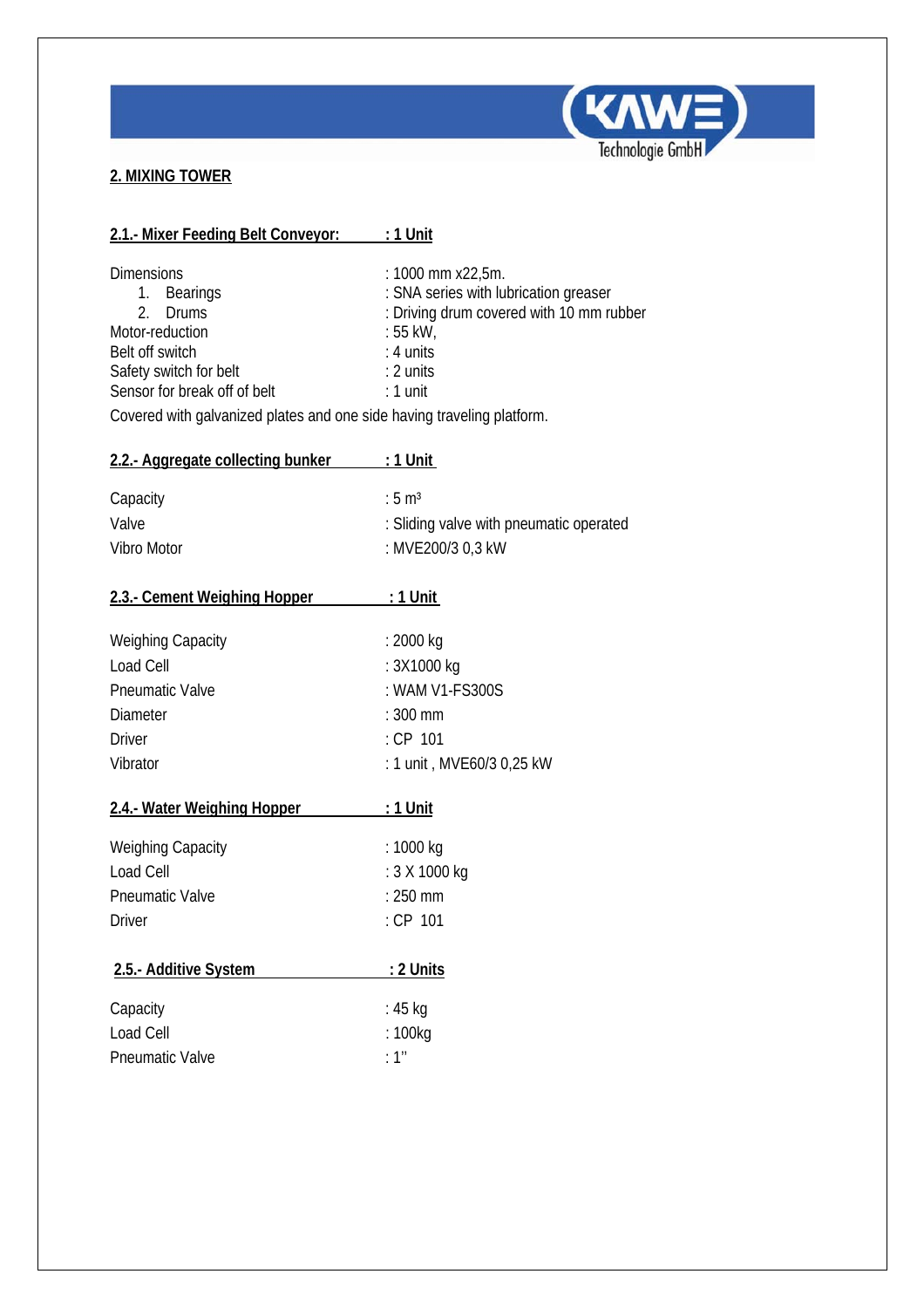

## **2. MIXING TOWER**

| 2.1. Mixer Feeding Belt Conveyor: : 1 Unit                                                                                                                                                                             |                                                                                                                                                              |
|------------------------------------------------------------------------------------------------------------------------------------------------------------------------------------------------------------------------|--------------------------------------------------------------------------------------------------------------------------------------------------------------|
| <b>Dimensions</b><br>1. Bearings<br>2. Drums<br>Motor-reduction<br>Belt off switch<br>Safety switch for belt<br>Sensor for break off of belt<br>Covered with galvanized plates and one side having traveling platform. | : 1000 mm x22,5m.<br>: SNA series with lubrication greaser<br>: Driving drum covered with 10 mm rubber<br>: 55 kW,<br>$: 4$ units<br>: 2 units<br>$: 1$ unit |
| 2.2.- Aggregate collecting bunker : 1 Unit                                                                                                                                                                             |                                                                                                                                                              |
| Capacity<br>Valve<br>Vibro Motor                                                                                                                                                                                       | $:5 \mathrm{m}^3$<br>: Sliding valve with pneumatic operated<br>: MVE200/3 0,3 kW                                                                            |
| 2.3.- Cement Weighing Hopper                                                                                                                                                                                           | $:1$ Unit                                                                                                                                                    |
| <b>Weighing Capacity</b><br>Load Cell<br><b>Pneumatic Valve</b><br><b>Diameter</b><br><b>Driver</b><br>Vibrator                                                                                                        | : 2000 kg<br>: 3X1000 kg<br>: WAM V1-FS300S<br>$: 300$ mm<br>$:$ CP 101<br>: 1 unit, MVE60/3 0,25 kW                                                         |
| 2.4.- Water Weighing Hopper                                                                                                                                                                                            | <u>: 1 Unit</u>                                                                                                                                              |
| <b>Weighing Capacity</b><br>Load Cell<br><b>Pneumatic Valve</b><br><b>Driver</b>                                                                                                                                       | : 1000 kg<br>: 3 X 1000 kg<br>$: 250$ mm<br>: CP 101                                                                                                         |
| 2.5.- Additive System                                                                                                                                                                                                  | <u>: 2 Units</u>                                                                                                                                             |
| Capacity<br>Load Cell<br><b>Pneumatic Valve</b>                                                                                                                                                                        | : 45 kg<br>: 100kg<br>: 1''                                                                                                                                  |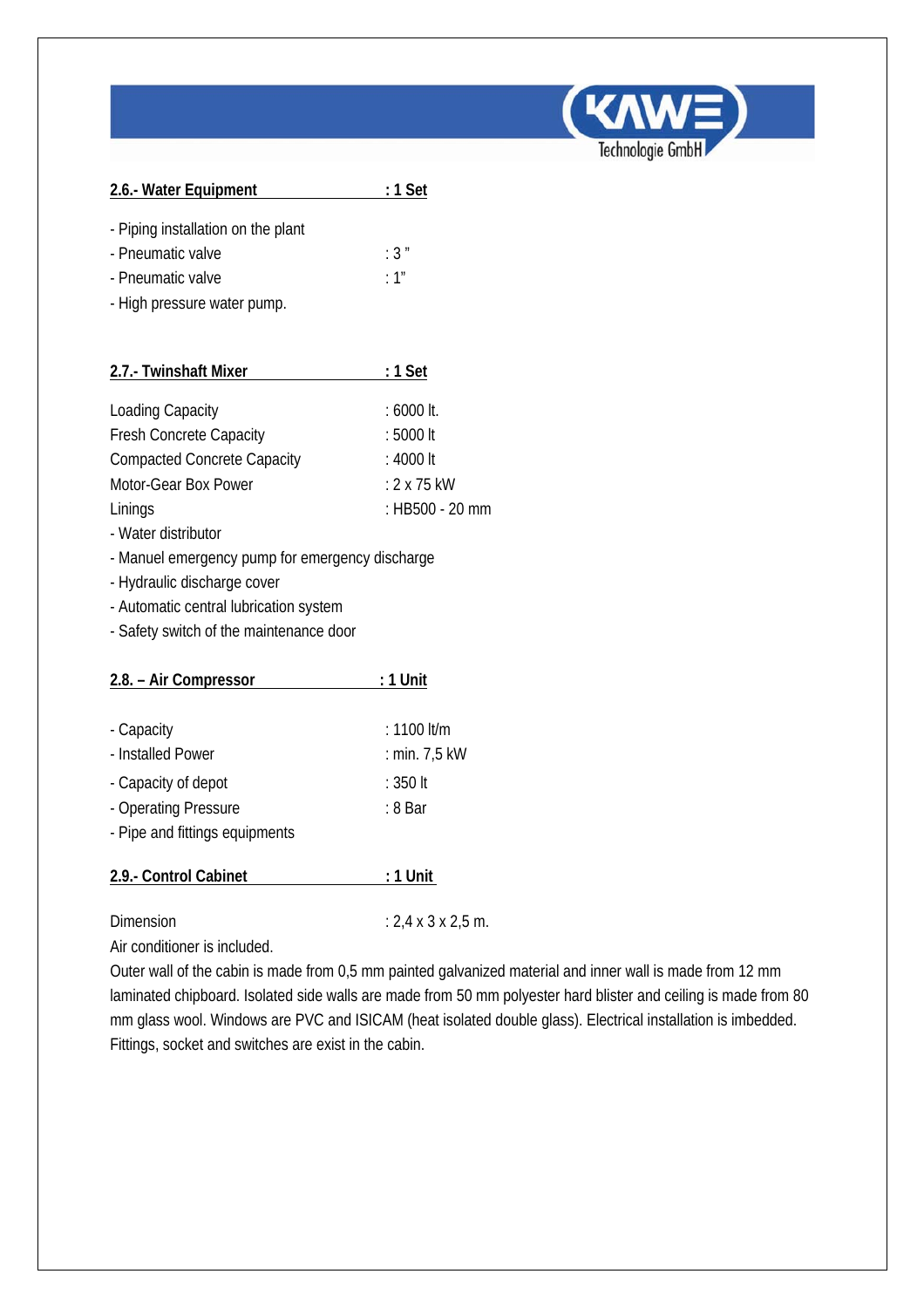

| 2.6.- Water Equipment              | : 1 Set |
|------------------------------------|---------|
| - Piping installation on the plant |         |
| - Pneumatic valve                  | :3"     |
| - Pneumatic valve                  | :1"     |
| - High pressure water pump.        |         |
|                                    |         |

| 2.7.- Twinshaft Mixer              | $: 1$ Set          |
|------------------------------------|--------------------|
|                                    |                    |
| <b>Loading Capacity</b>            | $: 6000$ It.       |
| <b>Fresh Concrete Capacity</b>     | : 5000 lt          |
| <b>Compacted Concrete Capacity</b> | $: 4000$ It        |
| Motor-Gear Box Power               | $: 2 \times 75$ kW |
| Linings                            | : HB500 - 20 mm    |

- Water distributor
- Manuel emergency pump for emergency discharge
- Hydraulic discharge cover
- Automatic central lubrication system
- Safety switch of the maintenance door

| 2.8. - Air Compressor          | : 1 Unit      |
|--------------------------------|---------------|
|                                |               |
| - Capacity                     | $: 1100$ lt/m |
| - Installed Power              | : min. 7,5 kW |
| - Capacity of depot            | : 350 lt      |
| - Operating Pressure           | : 8 Bar       |
| - Pipe and fittings equipments |               |
|                                |               |
| 2.9.- Control Cabinet          | : 1 Unit      |
|                                |               |

Dimension : 2,4 x 3 x 2,5 m.

Air conditioner is included.

Outer wall of the cabin is made from 0,5 mm painted galvanized material and inner wall is made from 12 mm laminated chipboard. Isolated side walls are made from 50 mm polyester hard blister and ceiling is made from 80 mm glass wool. Windows are PVC and ISICAM (heat isolated double glass). Electrical installation is imbedded. Fittings, socket and switches are exist in the cabin.